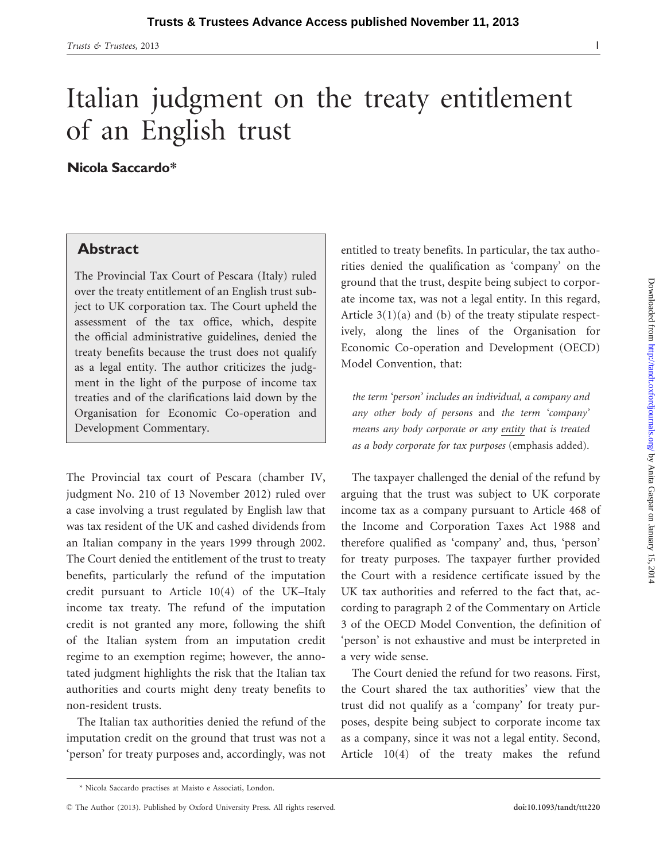## Italian judgment on the treaty entitlement of an English trust

## Nicola Saccardo\*

## Abstract

The Provincial Tax Court of Pescara (Italy) ruled over the treaty entitlement of an English trust subject to UK corporation tax. The Court upheld the assessment of the tax office, which, despite the official administrative guidelines, denied the treaty benefits because the trust does not qualify as a legal entity. The author criticizes the judgment in the light of the purpose of income tax treaties and of the clarifications laid down by the Organisation for Economic Co-operation and Development Commentary.

The Provincial tax court of Pescara (chamber IV, judgment No. 210 of 13 November 2012) ruled over a case involving a trust regulated by English law that was tax resident of the UK and cashed dividends from an Italian company in the years 1999 through 2002. The Court denied the entitlement of the trust to treaty benefits, particularly the refund of the imputation credit pursuant to Article 10(4) of the UK–Italy income tax treaty. The refund of the imputation credit is not granted any more, following the shift of the Italian system from an imputation credit regime to an exemption regime; however, the annotated judgment highlights the risk that the Italian tax authorities and courts might deny treaty benefits to non-resident trusts.

The Italian tax authorities denied the refund of the imputation credit on the ground that trust was not a 'person' for treaty purposes and, accordingly, was not entitled to treaty benefits. In particular, the tax authorities denied the qualification as 'company' on the ground that the trust, despite being subject to corporate income tax, was not a legal entity. In this regard, Article  $3(1)(a)$  and (b) of the treaty stipulate respectively, along the lines of the Organisation for Economic Co-operation and Development (OECD) Model Convention, that:

the term 'person' includes an individual, a company and any other body of persons and the term 'company' means any body corporate or any entity that is treated as a body corporate for tax purposes (emphasis added).

The taxpayer challenged the denial of the refund by arguing that the trust was subject to UK corporate income tax as a company pursuant to Article 468 of the Income and Corporation Taxes Act 1988 and therefore qualified as 'company' and, thus, 'person' for treaty purposes. The taxpayer further provided the Court with a residence certificate issued by the UK tax authorities and referred to the fact that, according to paragraph 2 of the Commentary on Article 3 of the OECD Model Convention, the definition of 'person' is not exhaustive and must be interpreted in a very wide sense.

The Court denied the refund for two reasons. First, the Court shared the tax authorities' view that the trust did not qualify as a 'company' for treaty purposes, despite being subject to corporate income tax as a company, since it was not a legal entity. Second, Article 10(4) of the treaty makes the refund

<sup>\*</sup> Nicola Saccardo practises at Maisto e Associati, London.

C The Author (2013). Published by Oxford University Press. All rights reserved. doi:10.1093/tandt/ttt220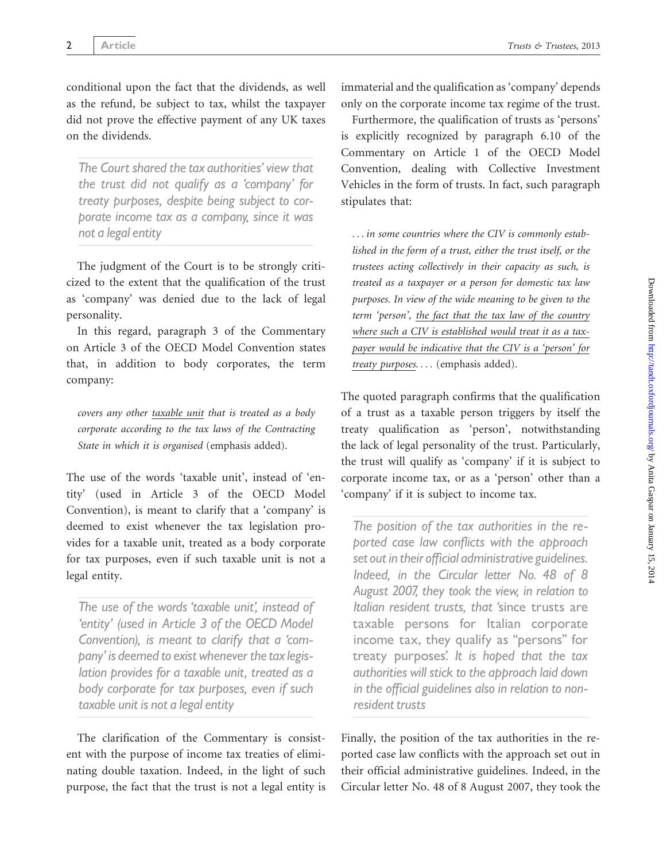conditional upon the fact that the dividends, as well as the refund, be subject to tax, whilst the taxpayer did not prove the effective payment of any UK taxes on the dividends.

The Court shared the tax authorities' view that the trust did not qualify as a 'company' for treaty purposes, despite being subject to corporate income tax as a company, since it was not a legal entity

The judgment of the Court is to be strongly criticized to the extent that the qualification of the trust as 'company' was denied due to the lack of legal personality.

In this regard, paragraph 3 of the Commentary on Article 3 of the OECD Model Convention states that, in addition to body corporates, the term company:

covers any other taxable unit that is treated as a body corporate according to the tax laws of the Contracting State in which it is organised (emphasis added).

The use of the words 'taxable unit', instead of 'entity' (used in Article 3 of the OECD Model Convention), is meant to clarify that a 'company' is deemed to exist whenever the tax legislation provides for a taxable unit, treated as a body corporate for tax purposes, even if such taxable unit is not a legal entity.

The use of the words 'taxable unit', instead of 'entity' (used in Article 3 of the OECD Model Convention), is meant to clarify that a 'company'is deemed to exist whenever the taxlegislation provides for a taxable unit, treated as a body corporate for tax purposes, even if such taxable unit is not a legal entity

The clarification of the Commentary is consistent with the purpose of income tax treaties of eliminating double taxation. Indeed, in the light of such purpose, the fact that the trust is not a legal entity is immaterial and the qualification as 'company' depends only on the corporate income tax regime of the trust.

Furthermore, the qualification of trusts as 'persons' is explicitly recognized by paragraph 6.10 of the Commentary on Article 1 of the OECD Model Convention, dealing with Collective Investment Vehicles in the form of trusts. In fact, such paragraph stipulates that:

... in some countries where the CIV is commonly established in the form of a trust, either the trust itself, or the trustees acting collectively in their capacity as such, is treated as a taxpayer or a person for domestic tax law purposes. In view of the wide meaning to be given to the term 'person', the fact that the tax law of the country where such a CIV is established would treat it as a taxpayer would be indicative that the CIV is a 'person' for treaty purposes. ... (emphasis added).

The quoted paragraph confirms that the qualification of a trust as a taxable person triggers by itself the treaty qualification as 'person', notwithstanding the lack of legal personality of the trust. Particularly, the trust will qualify as 'company' if it is subject to corporate income tax, or as a 'person' other than a 'company' if it is subject to income tax.

The position of the tax authorities in the reported case law conflicts with the approach set out in their official administrative guidelines. Indeed, in the Circular letter No. 48 of 8 August 2007, they took the view, in relation to Italian resident trusts, that 'since trusts are taxable persons for Italian corporate income tax, they qualify as ''persons'' for treaty purposes'. It is hoped that the tax authorities will stick to the approach laid down in the official guidelines also in relation to nonresident trusts

Finally, the position of the tax authorities in the reported case law conflicts with the approach set out in their official administrative guidelines. Indeed, in the Circular letter No. 48 of 8 August 2007, they took the